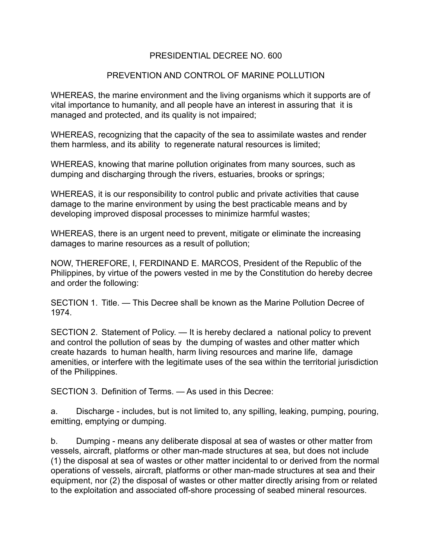## PRESIDENTIAL DECREE NO. 600

## PREVENTION AND CONTROL OF MARINE POLLUTION

WHEREAS, the marine environment and the living organisms which it supports are of vital importance to humanity, and all people have an interest in assuring that it is managed and protected, and its quality is not impaired;

WHEREAS, recognizing that the capacity of the sea to assimilate wastes and render them harmless, and its ability to regenerate natural resources is limited;

WHEREAS, knowing that marine pollution originates from many sources, such as dumping and discharging through the rivers, estuaries, brooks or springs;

WHEREAS, it is our responsibility to control public and private activities that cause damage to the marine environment by using the best practicable means and by developing improved disposal processes to minimize harmful wastes;

WHEREAS, there is an urgent need to prevent, mitigate or eliminate the increasing damages to marine resources as a result of pollution;

NOW, THEREFORE, I, FERDINAND E. MARCOS, President of the Republic of the Philippines, by virtue of the powers vested in me by the Constitution do hereby decree and order the following:

SECTION 1. Title. — This Decree shall be known as the Marine Pollution Decree of 1974.

SECTION 2. Statement of Policy. — It is hereby declared a national policy to prevent and control the pollution of seas by the dumping of wastes and other matter which create hazards to human health, harm living resources and marine life, damage amenities, or interfere with the legitimate uses of the sea within the territorial jurisdiction of the Philippines.

SECTION 3. Definition of Terms. — As used in this Decree:

a. Discharge - includes, but is not limited to, any spilling, leaking, pumping, pouring, emitting, emptying or dumping.

b. Dumping - means any deliberate disposal at sea of wastes or other matter from vessels, aircraft, platforms or other man-made structures at sea, but does not include (1) the disposal at sea of wastes or other matter incidental to or derived from the normal operations of vessels, aircraft, platforms or other man-made structures at sea and their equipment, nor (2) the disposal of wastes or other matter directly arising from or related to the exploitation and associated off-shore processing of seabed mineral resources.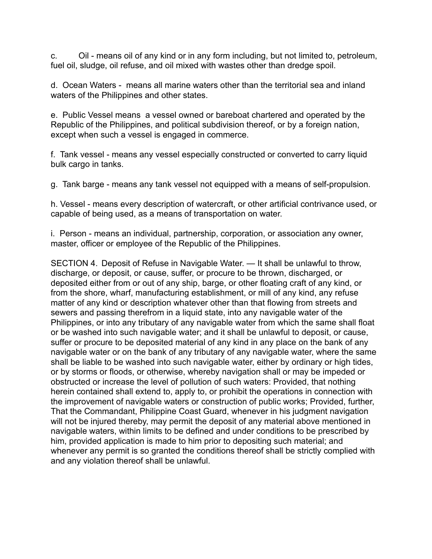c. Oil - means oil of any kind or in any form including, but not limited to, petroleum, fuel oil, sludge, oil refuse, and oil mixed with wastes other than dredge spoil.

d. Ocean Waters - means all marine waters other than the territorial sea and inland waters of the Philippines and other states.

e. Public Vessel means a vessel owned or bareboat chartered and operated by the Republic of the Philippines, and political subdivision thereof, or by a foreign nation, except when such a vessel is engaged in commerce.

f. Tank vessel - means any vessel especially constructed or converted to carry liquid bulk cargo in tanks.

g. Tank barge - means any tank vessel not equipped with a means of self-propulsion.

h. Vessel - means every description of watercraft, or other artificial contrivance used, or capable of being used, as a means of transportation on water.

i. Person - means an individual, partnership, corporation, or association any owner, master, officer or employee of the Republic of the Philippines.

SECTION 4. Deposit of Refuse in Navigable Water. — It shall be unlawful to throw, discharge, or deposit, or cause, suffer, or procure to be thrown, discharged, or deposited either from or out of any ship, barge, or other floating craft of any kind, or from the shore, wharf, manufacturing establishment, or mill of any kind, any refuse matter of any kind or description whatever other than that flowing from streets and sewers and passing therefrom in a liquid state, into any navigable water of the Philippines, or into any tributary of any navigable water from which the same shall float or be washed into such navigable water; and it shall be unlawful to deposit, or cause, suffer or procure to be deposited material of any kind in any place on the bank of any navigable water or on the bank of any tributary of any navigable water, where the same shall be liable to be washed into such navigable water, either by ordinary or high tides, or by storms or floods, or otherwise, whereby navigation shall or may be impeded or obstructed or increase the level of pollution of such waters: Provided, that nothing herein contained shall extend to, apply to, or prohibit the operations in connection with the improvement of navigable waters or construction of public works; Provided, further, That the Commandant, Philippine Coast Guard, whenever in his judgment navigation will not be injured thereby, may permit the deposit of any material above mentioned in navigable waters, within limits to be defined and under conditions to be prescribed by him, provided application is made to him prior to depositing such material; and whenever any permit is so granted the conditions thereof shall be strictly complied with and any violation thereof shall be unlawful.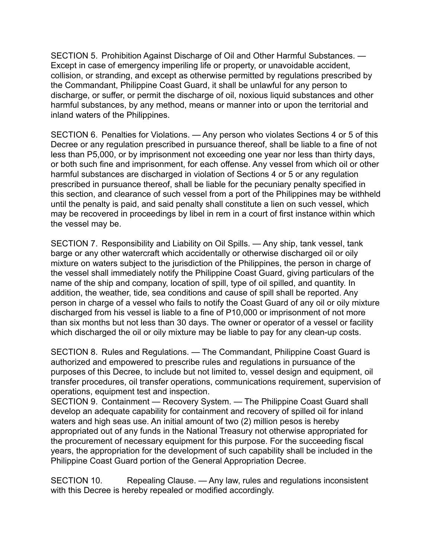SECTION 5. Prohibition Against Discharge of Oil and Other Harmful Substances. — Except in case of emergency imperiling life or property, or unavoidable accident, collision, or stranding, and except as otherwise permitted by regulations prescribed by the Commandant, Philippine Coast Guard, it shall be unlawful for any person to discharge, or suffer, or permit the discharge of oil, noxious liquid substances and other harmful substances, by any method, means or manner into or upon the territorial and inland waters of the Philippines.

SECTION 6. Penalties for Violations. — Any person who violates Sections 4 or 5 of this Decree or any regulation prescribed in pursuance thereof, shall be liable to a fine of not less than P5,000, or by imprisonment not exceeding one year nor less than thirty days, or both such fine and imprisonment, for each offense. Any vessel from which oil or other harmful substances are discharged in violation of Sections 4 or 5 or any regulation prescribed in pursuance thereof, shall be liable for the pecuniary penalty specified in this section, and clearance of such vessel from a port of the Philippines may be withheld until the penalty is paid, and said penalty shall constitute a lien on such vessel, which may be recovered in proceedings by libel in rem in a court of first instance within which the vessel may be.

SECTION 7. Responsibility and Liability on Oil Spills. — Any ship, tank vessel, tank barge or any other watercraft which accidentally or otherwise discharged oil or oily mixture on waters subject to the jurisdiction of the Philippines, the person in charge of the vessel shall immediately notify the Philippine Coast Guard, giving particulars of the name of the ship and company, location of spill, type of oil spilled, and quantity. In addition, the weather, tide, sea conditions and cause of spill shall be reported. Any person in charge of a vessel who fails to notify the Coast Guard of any oil or oily mixture discharged from his vessel is liable to a fine of P10,000 or imprisonment of not more than six months but not less than 30 days. The owner or operator of a vessel or facility which discharged the oil or oily mixture may be liable to pay for any clean-up costs.

SECTION 8. Rules and Regulations. — The Commandant, Philippine Coast Guard is authorized and empowered to prescribe rules and regulations in pursuance of the purposes of this Decree, to include but not limited to, vessel design and equipment, oil transfer procedures, oil transfer operations, communications requirement, supervision of operations, equipment test and inspection.

SECTION 9. Containment — Recovery System. — The Philippine Coast Guard shall develop an adequate capability for containment and recovery of spilled oil for inland waters and high seas use. An initial amount of two (2) million pesos is hereby appropriated out of any funds in the National Treasury not otherwise appropriated for the procurement of necessary equipment for this purpose. For the succeeding fiscal years, the appropriation for the development of such capability shall be included in the Philippine Coast Guard portion of the General Appropriation Decree.

SECTION 10. Repealing Clause. — Any law, rules and regulations inconsistent with this Decree is hereby repealed or modified accordingly.